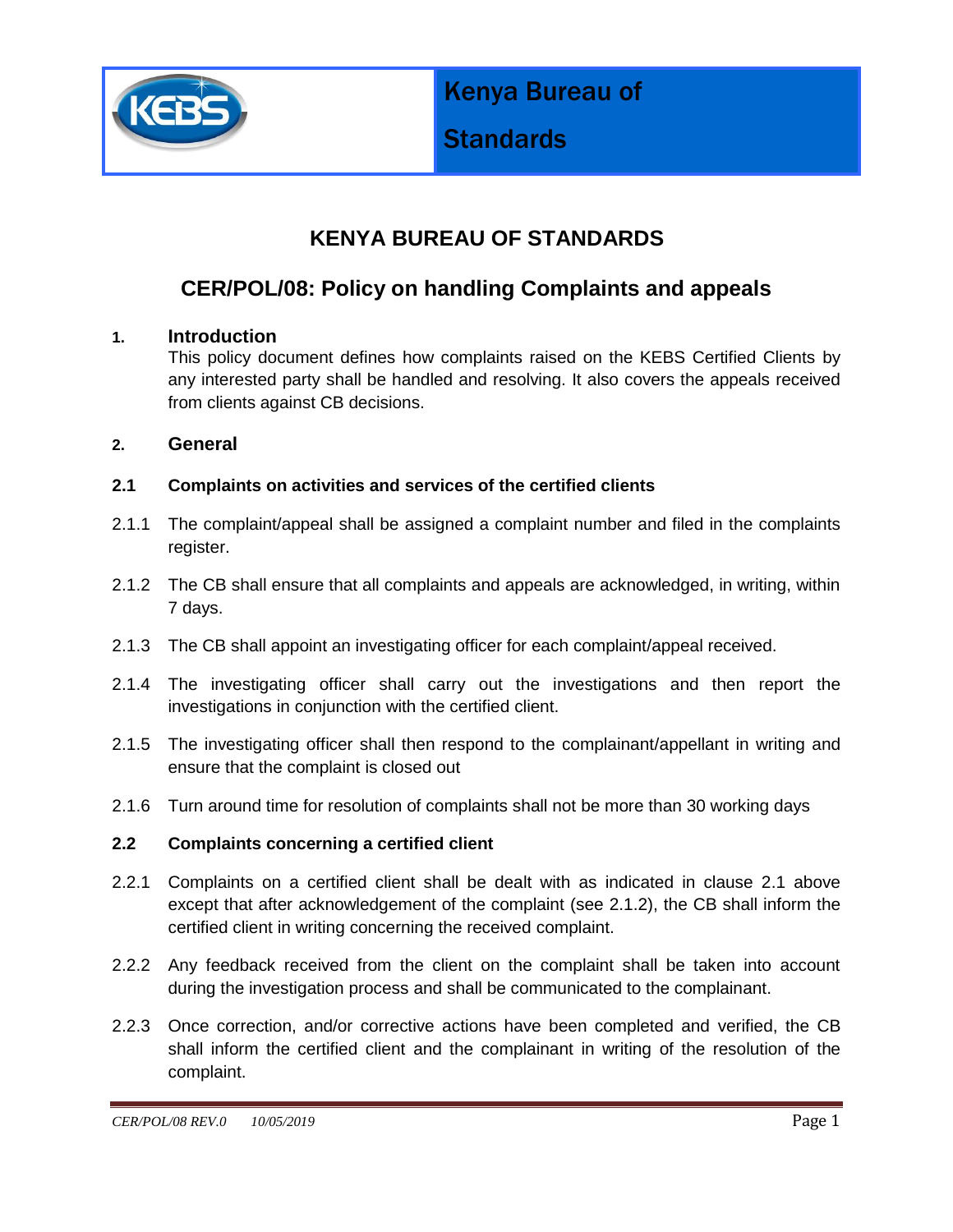

Kenya Bureau of

# **Standards**

## **KENYA BUREAU OF STANDARDS**

### **CER/POL/08: Policy on handling Complaints and appeals**

#### **1. Introduction**

This policy document defines how complaints raised on the KEBS Certified Clients by any interested party shall be handled and resolving. It also covers the appeals received from clients against CB decisions.

#### **2. General**

#### **2.1 Complaints on activities and services of the certified clients**

- 2.1.1 The complaint/appeal shall be assigned a complaint number and filed in the complaints register.
- 2.1.2 The CB shall ensure that all complaints and appeals are acknowledged, in writing, within 7 days.
- 2.1.3 The CB shall appoint an investigating officer for each complaint/appeal received.
- 2.1.4 The investigating officer shall carry out the investigations and then report the investigations in conjunction with the certified client.
- 2.1.5 The investigating officer shall then respond to the complainant/appellant in writing and ensure that the complaint is closed out
- 2.1.6 Turn around time for resolution of complaints shall not be more than 30 working days

#### **2.2 Complaints concerning a certified client**

- 2.2.1 Complaints on a certified client shall be dealt with as indicated in clause 2.1 above except that after acknowledgement of the complaint (see 2.1.2), the CB shall inform the certified client in writing concerning the received complaint.
- 2.2.2 Any feedback received from the client on the complaint shall be taken into account during the investigation process and shall be communicated to the complainant.
- 2.2.3 Once correction, and/or corrective actions have been completed and verified, the CB shall inform the certified client and the complainant in writing of the resolution of the complaint.